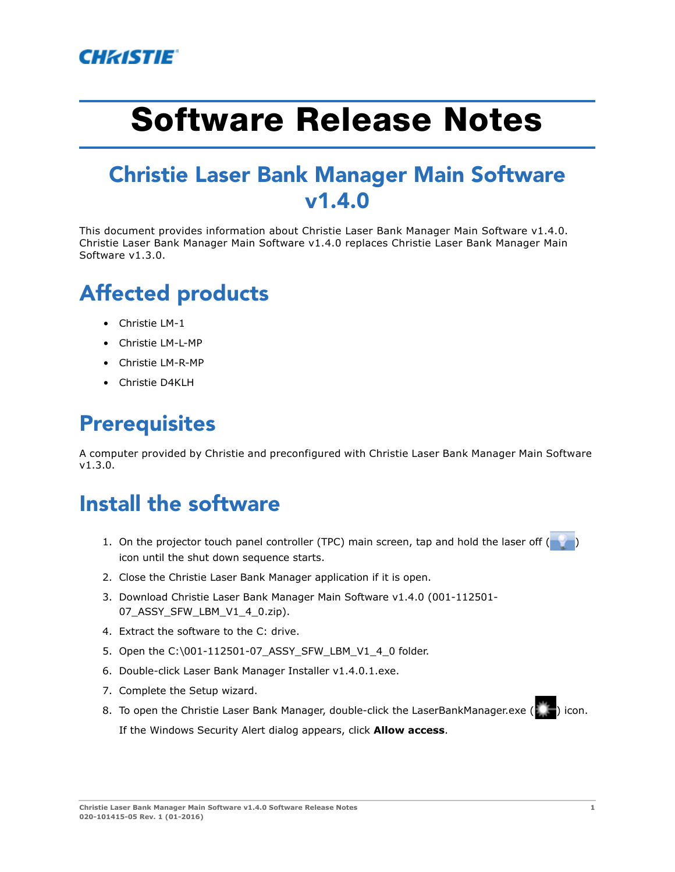

# **Software Release Notes**

#### **Christie Laser Bank Manager Main Software v1.4.0**

This document provides information about Christie Laser Bank Manager Main Software v1.4.0. Christie Laser Bank Manager Main Software v1.4.0 replaces Christie Laser Bank Manager Main Software v1.3.0.

## **Affected products**

- Christie LM-1
- Christie LM-L-MP
- Christie LM-R-MP
- Christie D4KLH

#### **Prerequisites**

A computer provided by Christie and preconfigured with Christie Laser Bank Manager Main Software v1.3.0.

#### **Install the software**

- 1. On the projector touch panel controller (TPC) main screen, tap and hold the laser off ( $\bullet$ ) icon until the shut down sequence starts.
- 2. Close the Christie Laser Bank Manager application if it is open.
- 3. Download Christie Laser Bank Manager Main Software v1.4.0 (001-112501- 07\_ASSY\_SFW\_LBM\_V1\_4\_0.zip).
- 4. Extract the software to the C: drive.
- 5. Open the C:\001-112501-07\_ASSY\_SFW\_LBM\_V1\_4\_0 folder.
- 6. Double-click Laser Bank Manager Installer v1.4.0.1.exe.
- 7. Complete the Setup wizard.
- 8. To open the Christie Laser Bank Manager, double-click the LaserBankManager.exe ( $\Box$ ) icon. If the Windows Security Alert dialog appears, click **Allow access**.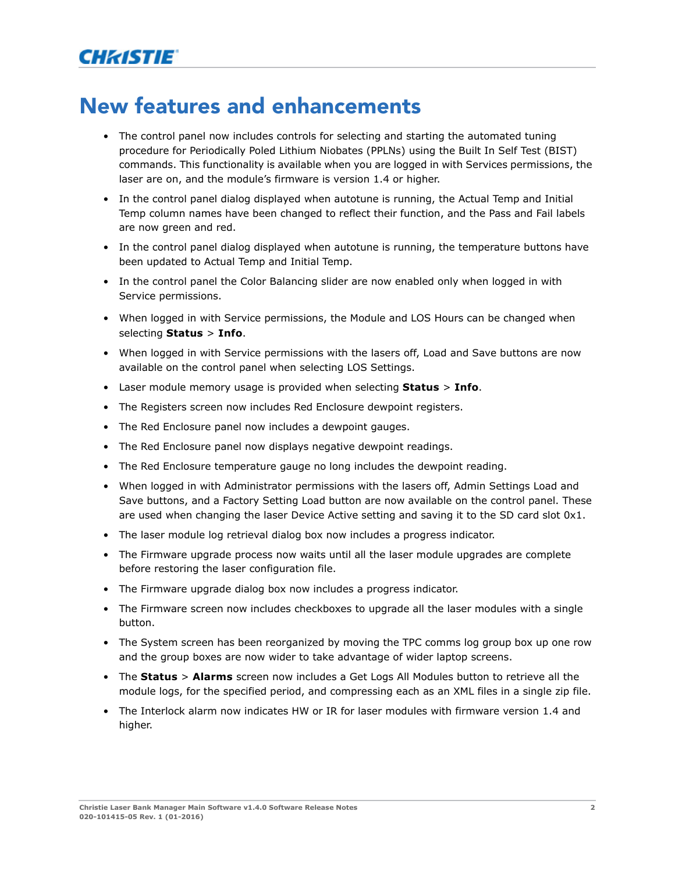#### **New features and enhancements**

- The control panel now includes controls for selecting and starting the automated tuning procedure for Periodically Poled Lithium Niobates (PPLNs) using the Built In Self Test (BIST) commands. This functionality is available when you are logged in with Services permissions, the laser are on, and the module's firmware is version 1.4 or higher.
- In the control panel dialog displayed when autotune is running, the Actual Temp and Initial Temp column names have been changed to reflect their function, and the Pass and Fail labels are now green and red.
- In the control panel dialog displayed when autotune is running, the temperature buttons have been updated to Actual Temp and Initial Temp.
- In the control panel the Color Balancing slider are now enabled only when logged in with Service permissions.
- When logged in with Service permissions, the Module and LOS Hours can be changed when selecting **Status** > **Info**.
- When logged in with Service permissions with the lasers off, Load and Save buttons are now available on the control panel when selecting LOS Settings.
- Laser module memory usage is provided when selecting **Status** > **Info**.
- The Registers screen now includes Red Enclosure dewpoint registers.
- The Red Enclosure panel now includes a dewpoint gauges.
- The Red Enclosure panel now displays negative dewpoint readings.
- The Red Enclosure temperature gauge no long includes the dewpoint reading.
- When logged in with Administrator permissions with the lasers off, Admin Settings Load and Save buttons, and a Factory Setting Load button are now available on the control panel. These are used when changing the laser Device Active setting and saving it to the SD card slot 0x1.
- The laser module log retrieval dialog box now includes a progress indicator.
- The Firmware upgrade process now waits until all the laser module upgrades are complete before restoring the laser configuration file.
- The Firmware upgrade dialog box now includes a progress indicator.
- The Firmware screen now includes checkboxes to upgrade all the laser modules with a single button.
- The System screen has been reorganized by moving the TPC comms log group box up one row and the group boxes are now wider to take advantage of wider laptop screens.
- The **Status** > **Alarms** screen now includes a Get Logs All Modules button to retrieve all the module logs, for the specified period, and compressing each as an XML files in a single zip file.
- The Interlock alarm now indicates HW or IR for laser modules with firmware version 1.4 and higher.